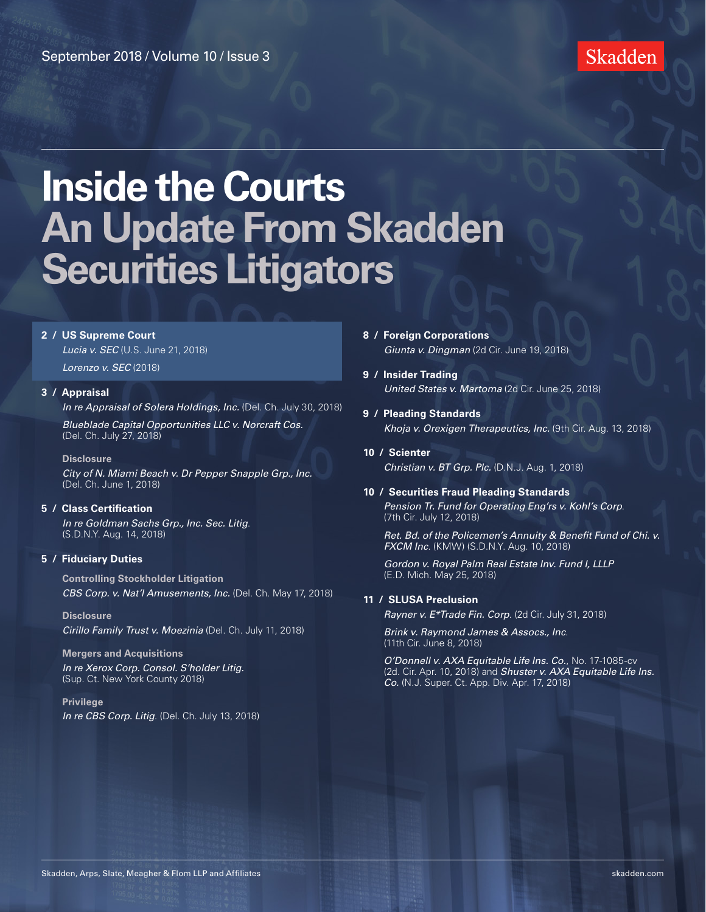### Skadden

# **Inside the Courts An Update From Skadden Securities Litigators**

### **2 / [US Supreme Court](#page-1-0)**

*Lucia v. SEC* [\(U.S. June 21, 2018\)](#page-1-0)

*[Lorenzo v. SEC](#page-1-0)* (2018)

#### **3 / [Appraisal](#page-2-0)**

*[In re Appraisal of Solera Holdings, Inc.](#page-2-0)* (Del. Ch. July 30, 2018)

*[Blueblade Capital Opportunities LLC v. Norcraft Cos.](#page-3-0)* [\(Del. Ch. July 27, 2018\)](#page-3-0)

#### **[Disclosure](#page-3-0)**

*[City of N. Miami Beach v. Dr Pepper Snapple Grp., Inc.](#page-3-0)* [\(Del. Ch. June 1, 2018\)](#page-3-0)

#### **5 / [Class Certification](#page-4-0)**

*[In re Goldman Sachs Grp., Inc. Sec. Litig](#page-4-0)*. [\(S.D.N.Y. Aug. 14, 2018\)](#page-4-0)

#### **5 / [Fiduciary Duties](#page-4-0)**

**[Controlling Stockholder Litigation](#page-4-0)** *[CBS Corp. v. Nat'l Amusements, Inc.](#page-4-0)* (Del. Ch. May 17, 2018)

**[Disclosure](#page-5-0)** *[Cirillo Family Trust v. Moezinia](#page-5-0)* (Del. Ch. July 11, 2018)

#### **[Mergers and Acquisitions](#page-6-0)** *[In re Xerox Corp. Consol. S'holder Litig.](#page-6-0)* [\(Sup. Ct. New York County 2018\)](#page-6-0)

**[Privilege](#page-7-0)** *In re CBS Corp. Litig*[. \(Del. Ch. July 13, 2018\)](#page-7-0)

- **8 / [Foreign Corporations](#page-7-0)** *Giunta v. Dingman* [\(2d Cir. June 19, 2018\)](#page-7-0)
- **9 / [Insider Trading](#page-8-0)** *[United States v. Martoma](#page-8-0)* (2d Cir. June 25, 2018)
- **9 / [Pleading Standards](#page-8-0)** *[Khoja v. Orexigen Therapeutics, Inc.](#page-8-0)* (9th Cir. Aug. 13, 2018)
- **10 / [Scienter](#page-9-0)** *[Christian v. BT Grp. Plc.](#page-9-0)* (D.N.J. Aug. 1, 2018)

#### **10 / [Securities Fraud Pleading Standards](#page-9-0)**

*[Pension Tr. Fund for Operating Eng'rs v. Kohl's Corp](#page-9-0)*. [\(7th Cir. July 12, 2018\)](#page-9-0)

*[Ret. Bd. of the Policemen's Annuity & Benefit Fund of Chi. v.](#page-10-0)  FXCM Inc*[. \(KMW\) \(S.D.N.Y. Aug. 10, 2018\)](#page-10-0)

*[Gordon v. Royal Palm Real Estate Inv. Fund I, LLLP](#page-10-0)* [\(E.D. Mich. May 25, 2018\)](#page-10-0)

### **11 / [SLUSA Preclusion](#page-10-0)**

*[Rayner v. E\\*Trade Fin. Corp](#page-10-0)*. (2d Cir. July 31, 2018)

*[Brink v. Raymond James & Assocs., Inc](#page-11-0)*. [\(11th Cir. June 8, 2018\)](#page-11-0)

*[O'Donnell v. AXA Equitable Life Ins. Co.](#page-11-0)*, No. 17-1085-cv [\(2d. Cir. Apr. 10, 2018\)](#page-11-0) and *[Shuster v. AXA Equitable Life Ins.](#page-11-0)  Co.* [\(N.J. Super. Ct. App. Div. Apr. 17, 2018\)](#page-11-0)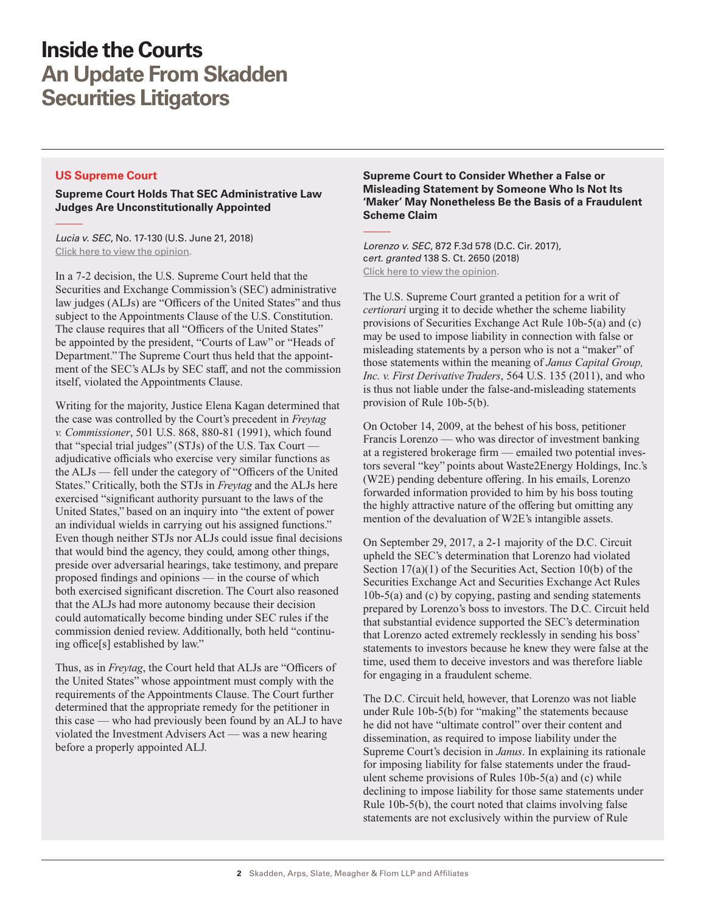### <span id="page-1-0"></span>**US Supreme Court**

**Supreme Court Holds That SEC Administrative Law Judges Are Unconstitutionally Appointed**

*Lucia v. SEC*, No. 17-130 (U.S. June 21, 2018) [Click here to view the opinion](http://www.skadden.com/-/media/files/publications/2018/09/inside-the-courts-sept-2018/fn1_lucia_v_sec.pdf).

In a 7-2 decision, the U.S. Supreme Court held that the Securities and Exchange Commission's (SEC) administrative law judges (ALJs) are "Officers of the United States" and thus subject to the Appointments Clause of the U.S. Constitution. The clause requires that all "Officers of the United States" be appointed by the president, "Courts of Law" or "Heads of Department." The Supreme Court thus held that the appointment of the SEC's ALJs by SEC staff, and not the commission itself, violated the Appointments Clause.

Writing for the majority, Justice Elena Kagan determined that the case was controlled by the Court's precedent in *Freytag v. Commissioner*, 501 U.S. 868, 880-81 (1991), which found that "special trial judges" (STJs) of the U.S. Tax Court adjudicative officials who exercise very similar functions as the ALJs — fell under the category of "Officers of the United States." Critically, both the STJs in *Freytag* and the ALJs here exercised "significant authority pursuant to the laws of the United States," based on an inquiry into "the extent of power an individual wields in carrying out his assigned functions." Even though neither STJs nor ALJs could issue final decisions that would bind the agency, they could, among other things, preside over adversarial hearings, take testimony, and prepare proposed findings and opinions — in the course of which both exercised significant discretion. The Court also reasoned that the ALJs had more autonomy because their decision could automatically become binding under SEC rules if the commission denied review. Additionally, both held "continuing office[s] established by law."

Thus, as in *Freytag*, the Court held that ALJs are "Officers of the United States" whose appointment must comply with the requirements of the Appointments Clause. The Court further determined that the appropriate remedy for the petitioner in this case — who had previously been found by an ALJ to have violated the Investment Advisers Act — was a new hearing before a properly appointed ALJ.

### **Supreme Court to Consider Whether a False or Misleading Statement by Someone Who Is Not Its 'Maker' May Nonetheless Be the Basis of a Fraudulent Scheme Claim**

*Lorenzo v. SEC*, 872 F.3d 578 (D.C. Cir. 2017), c*ert. granted* 138 S. Ct. 2650 (2018) [Click here to view the opinion](http://www.skadden.com/-/media/files/publications/2018/09/inside-the-courts-sept-2018/fn2_lorenzo_v_sec.pdf).

The U.S. Supreme Court granted a petition for a writ of *certiorari* urging it to decide whether the scheme liability provisions of Securities Exchange Act Rule 10b-5(a) and (c) may be used to impose liability in connection with false or misleading statements by a person who is not a "maker" of those statements within the meaning of *Janus Capital Group, Inc. v. First Derivative Traders*, 564 U.S. 135 (2011), and who is thus not liable under the false-and-misleading statements provision of Rule 10b-5(b).

On October 14, 2009, at the behest of his boss, petitioner Francis Lorenzo — who was director of investment banking at a registered brokerage firm — emailed two potential investors several "key" points about Waste2Energy Holdings, Inc.'s (W2E) pending debenture offering. In his emails, Lorenzo forwarded information provided to him by his boss touting the highly attractive nature of the offering but omitting any mention of the devaluation of W2E's intangible assets.

On September 29, 2017, a 2-1 majority of the D.C. Circuit upheld the SEC's determination that Lorenzo had violated Section 17(a)(1) of the Securities Act, Section 10(b) of the Securities Exchange Act and Securities Exchange Act Rules 10b-5(a) and (c) by copying, pasting and sending statements prepared by Lorenzo's boss to investors. The D.C. Circuit held that substantial evidence supported the SEC's determination that Lorenzo acted extremely recklessly in sending his boss' statements to investors because he knew they were false at the time, used them to deceive investors and was therefore liable for engaging in a fraudulent scheme.

The D.C. Circuit held, however, that Lorenzo was not liable under Rule 10b-5(b) for "making" the statements because he did not have "ultimate control" over their content and dissemination, as required to impose liability under the Supreme Court's decision in *Janus*. In explaining its rationale for imposing liability for false statements under the fraudulent scheme provisions of Rules 10b-5(a) and (c) while declining to impose liability for those same statements under Rule 10b-5(b), the court noted that claims involving false statements are not exclusively within the purview of Rule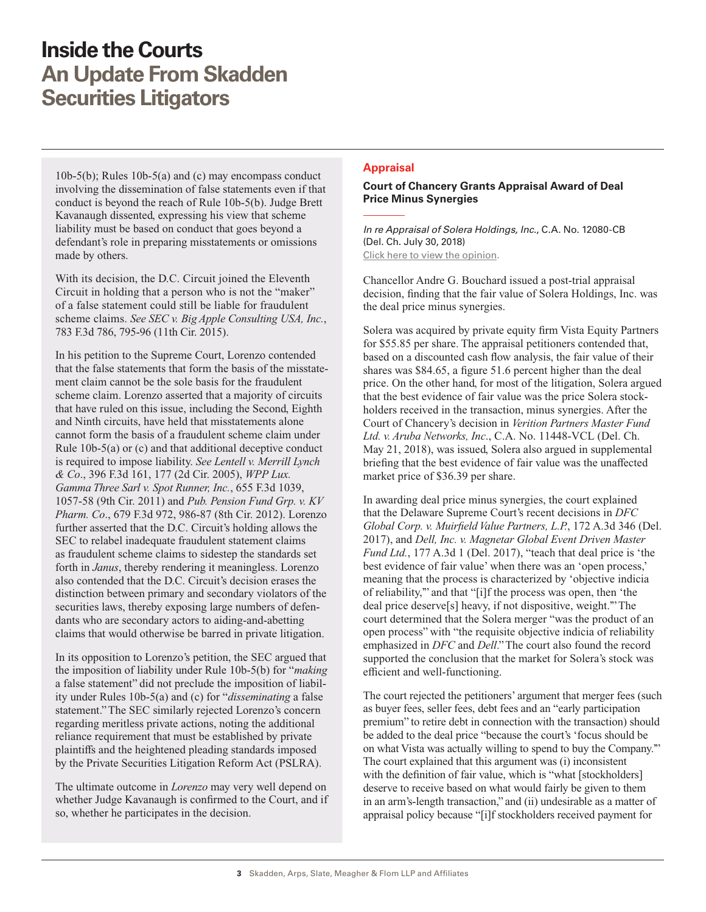<span id="page-2-0"></span>10b-5(b); Rules 10b-5(a) and (c) may encompass conduct involving the dissemination of false statements even if that conduct is beyond the reach of Rule 10b-5(b). Judge Brett Kavanaugh dissented, expressing his view that scheme liability must be based on conduct that goes beyond a defendant's role in preparing misstatements or omissions made by others.

With its decision, the D.C. Circuit joined the Eleventh Circuit in holding that a person who is not the "maker" of a false statement could still be liable for fraudulent scheme claims. *See SEC v. Big Apple Consulting USA, Inc.*, 783 F.3d 786, 795-96 (11th Cir. 2015).

In his petition to the Supreme Court, Lorenzo contended that the false statements that form the basis of the misstatement claim cannot be the sole basis for the fraudulent scheme claim. Lorenzo asserted that a majority of circuits that have ruled on this issue, including the Second, Eighth and Ninth circuits, have held that misstatements alone cannot form the basis of a fraudulent scheme claim under Rule 10b-5(a) or (c) and that additional deceptive conduct is required to impose liability. *See Lentell v. Merrill Lynch & Co*., 396 F.3d 161, 177 (2d Cir. 2005), *WPP Lux. Gamma Three Sarl v. Spot Runner, Inc.*, 655 F.3d 1039, 1057-58 (9th Cir. 2011) and *Pub. Pension Fund Grp. v. KV Pharm. Co*., 679 F.3d 972, 986-87 (8th Cir. 2012). Lorenzo further asserted that the D.C. Circuit's holding allows the SEC to relabel inadequate fraudulent statement claims as fraudulent scheme claims to sidestep the standards set forth in *Janus*, thereby rendering it meaningless. Lorenzo also contended that the D.C. Circuit's decision erases the distinction between primary and secondary violators of the securities laws, thereby exposing large numbers of defendants who are secondary actors to aiding-and-abetting claims that would otherwise be barred in private litigation.

In its opposition to Lorenzo's petition, the SEC argued that the imposition of liability under Rule 10b-5(b) for "*making* a false statement" did not preclude the imposition of liability under Rules 10b-5(a) and (c) for "*disseminating* a false statement." The SEC similarly rejected Lorenzo's concern regarding meritless private actions, noting the additional reliance requirement that must be established by private plaintiffs and the heightened pleading standards imposed by the Private Securities Litigation Reform Act (PSLRA).

The ultimate outcome in *Lorenzo* may very well depend on whether Judge Kavanaugh is confirmed to the Court, and if so, whether he participates in the decision.

### **Appraisal**

### **Court of Chancery Grants Appraisal Award of Deal Price Minus Synergies**

*In re Appraisal of Solera Holdings, Inc.*, C.A. No. 12080-CB (Del. Ch. July 30, 2018) [Click here to view the opinion](https://www.skadden.com/-/media/files/publications/2018/09/inside-the-courts-sept-2018/fn3_in_-re_appraisal_of_solera_holdings.pdf).

Chancellor Andre G. Bouchard issued a post-trial appraisal decision, finding that the fair value of Solera Holdings, Inc. was the deal price minus synergies.

Solera was acquired by private equity firm Vista Equity Partners for \$55.85 per share. The appraisal petitioners contended that, based on a discounted cash flow analysis, the fair value of their shares was \$84.65, a figure 51.6 percent higher than the deal price. On the other hand, for most of the litigation, Solera argued that the best evidence of fair value was the price Solera stockholders received in the transaction, minus synergies. After the Court of Chancery's decision in *Verition Partners Master Fund Ltd. v. Aruba Networks, Inc*., C.A. No. 11448-VCL (Del. Ch. May 21, 2018), was issued, Solera also argued in supplemental briefing that the best evidence of fair value was the unaffected market price of \$36.39 per share.

In awarding deal price minus synergies, the court explained that the Delaware Supreme Court's recent decisions in *DFC Global Corp. v. Muirfield Value Partners, L.P.*, 172 A.3d 346 (Del. 2017), and *Dell, Inc. v. Magnetar Global Event Driven Master Fund Ltd.*, 177 A.3d 1 (Del. 2017), "teach that deal price is 'the best evidence of fair value' when there was an 'open process,' meaning that the process is characterized by 'objective indicia of reliability,'" and that "[i]f the process was open, then 'the deal price deserve[s] heavy, if not dispositive, weight.'" The court determined that the Solera merger "was the product of an open process" with "the requisite objective indicia of reliability emphasized in *DFC* and *Dell*." The court also found the record supported the conclusion that the market for Solera's stock was efficient and well-functioning.

The court rejected the petitioners' argument that merger fees (such as buyer fees, seller fees, debt fees and an "early participation premium" to retire debt in connection with the transaction) should be added to the deal price "because the court's 'focus should be on what Vista was actually willing to spend to buy the Company.'" The court explained that this argument was (i) inconsistent with the definition of fair value, which is "what [stockholders] deserve to receive based on what would fairly be given to them in an arm's-length transaction," and (ii) undesirable as a matter of appraisal policy because "[i]f stockholders received payment for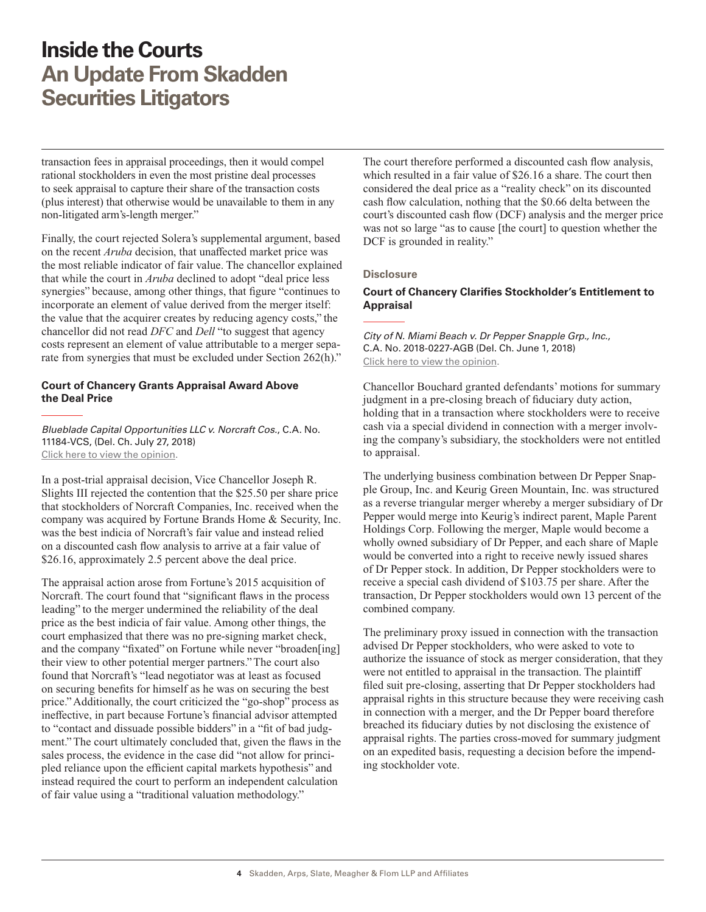<span id="page-3-0"></span>transaction fees in appraisal proceedings, then it would compel rational stockholders in even the most pristine deal processes to seek appraisal to capture their share of the transaction costs (plus interest) that otherwise would be unavailable to them in any non-litigated arm's-length merger."

Finally, the court rejected Solera's supplemental argument, based on the recent *Aruba* decision, that unaffected market price was the most reliable indicator of fair value. The chancellor explained that while the court in *Aruba* declined to adopt "deal price less synergies" because, among other things, that figure "continues to incorporate an element of value derived from the merger itself: the value that the acquirer creates by reducing agency costs," the chancellor did not read *DFC* and *Dell* "to suggest that agency costs represent an element of value attributable to a merger separate from synergies that must be excluded under Section 262(h)."

### **Court of Chancery Grants Appraisal Award Above the Deal Price**

*Blueblade Capital Opportunities LLC v. Norcraft Cos.*, C.A. No. 11184-VCS, (Del. Ch. July 27, 2018) [Click here to view the opinion](http://www.skadden.com/-/media/files/publications/2018/09/inside-the-courts-sept-2018/fn4_blueblade_capital_opportunities.pdf).

In a post-trial appraisal decision, Vice Chancellor Joseph R. Slights III rejected the contention that the \$25.50 per share price that stockholders of Norcraft Companies, Inc. received when the company was acquired by Fortune Brands Home & Security, Inc. was the best indicia of Norcraft's fair value and instead relied on a discounted cash flow analysis to arrive at a fair value of \$26.16, approximately 2.5 percent above the deal price.

The appraisal action arose from Fortune's 2015 acquisition of Norcraft. The court found that "significant flaws in the process leading" to the merger undermined the reliability of the deal price as the best indicia of fair value. Among other things, the court emphasized that there was no pre-signing market check, and the company "fixated" on Fortune while never "broaden[ing] their view to other potential merger partners." The court also found that Norcraft's "lead negotiator was at least as focused on securing benefits for himself as he was on securing the best price." Additionally, the court criticized the "go-shop" process as ineffective, in part because Fortune's financial advisor attempted to "contact and dissuade possible bidders" in a "fit of bad judgment." The court ultimately concluded that, given the flaws in the sales process, the evidence in the case did "not allow for principled reliance upon the efficient capital markets hypothesis" and instead required the court to perform an independent calculation of fair value using a "traditional valuation methodology."

The court therefore performed a discounted cash flow analysis, which resulted in a fair value of \$26.16 a share. The court then considered the deal price as a "reality check" on its discounted cash flow calculation, nothing that the \$0.66 delta between the court's discounted cash flow (DCF) analysis and the merger price was not so large "as to cause [the court] to question whether the DCF is grounded in reality."

#### **Disclosure**

### **Court of Chancery Clarifies Stockholder's Entitlement to Appraisal**

*City of N. Miami Beach v. Dr Pepper Snapple Grp., Inc.*, C.A. No. 2018-0227-AGB (Del. Ch. June 1, 2018) [Click here to view the opinion](http://www.skadden.com/-/media/files/publications/2018/09/inside-the-courts-sept-2018/fn5_city_of_north_miami_beach_v_dr_pepper.pdf).

Chancellor Bouchard granted defendants' motions for summary judgment in a pre-closing breach of fiduciary duty action, holding that in a transaction where stockholders were to receive cash via a special dividend in connection with a merger involving the company's subsidiary, the stockholders were not entitled to appraisal.

The underlying business combination between Dr Pepper Snapple Group, Inc. and Keurig Green Mountain, Inc. was structured as a reverse triangular merger whereby a merger subsidiary of Dr Pepper would merge into Keurig's indirect parent, Maple Parent Holdings Corp. Following the merger, Maple would become a wholly owned subsidiary of Dr Pepper, and each share of Maple would be converted into a right to receive newly issued shares of Dr Pepper stock. In addition, Dr Pepper stockholders were to receive a special cash dividend of \$103.75 per share. After the transaction, Dr Pepper stockholders would own 13 percent of the combined company.

The preliminary proxy issued in connection with the transaction advised Dr Pepper stockholders, who were asked to vote to authorize the issuance of stock as merger consideration, that they were not entitled to appraisal in the transaction. The plaintiff filed suit pre-closing, asserting that Dr Pepper stockholders had appraisal rights in this structure because they were receiving cash in connection with a merger, and the Dr Pepper board therefore breached its fiduciary duties by not disclosing the existence of appraisal rights. The parties cross-moved for summary judgment on an expedited basis, requesting a decision before the impending stockholder vote.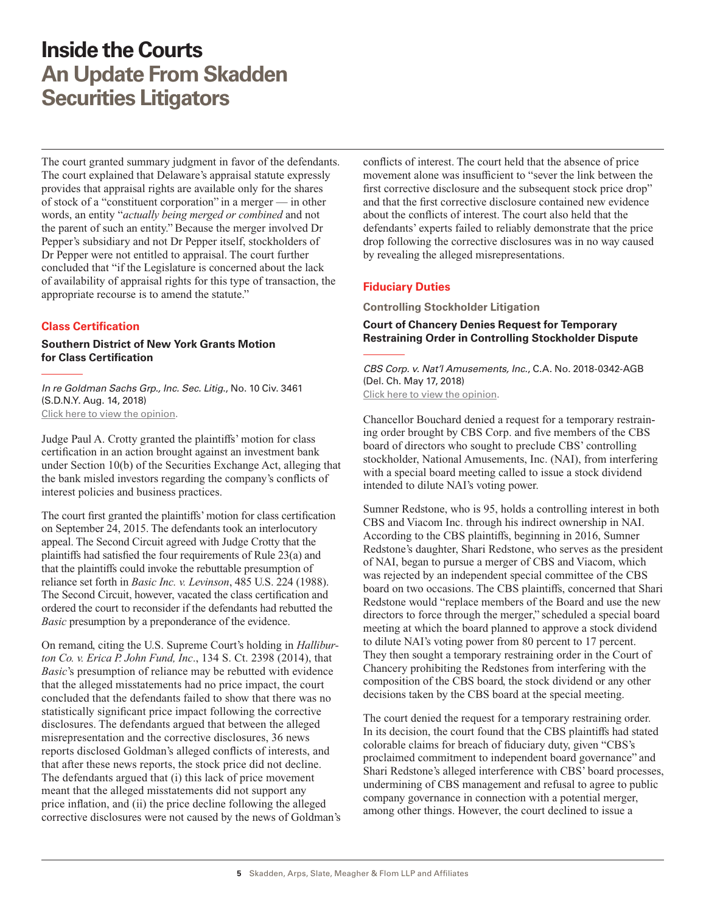<span id="page-4-0"></span>The court granted summary judgment in favor of the defendants. The court explained that Delaware's appraisal statute expressly provides that appraisal rights are available only for the shares of stock of a "constituent corporation" in a merger — in other words, an entity "*actually being merged or combined* and not the parent of such an entity." Because the merger involved Dr Pepper's subsidiary and not Dr Pepper itself, stockholders of Dr Pepper were not entitled to appraisal. The court further concluded that "if the Legislature is concerned about the lack of availability of appraisal rights for this type of transaction, the appropriate recourse is to amend the statute."

### **Class Certification**

**Southern District of New York Grants Motion for Class Certification**

*In re Goldman Sachs Grp., Inc. Sec. Litig*., No. 10 Civ. 3461 (S.D.N.Y. Aug. 14, 2018) [Click here to view the opinion](http://www.skadden.com/-/media/files/publications/2018/09/inside-the-courts-sept-2018/fn6_in_re_goldman_sachs.pdf).

Judge Paul A. Crotty granted the plaintiffs' motion for class certification in an action brought against an investment bank under Section 10(b) of the Securities Exchange Act, alleging that the bank misled investors regarding the company's conflicts of interest policies and business practices.

The court first granted the plaintiffs' motion for class certification on September 24, 2015. The defendants took an interlocutory appeal. The Second Circuit agreed with Judge Crotty that the plaintiffs had satisfied the four requirements of Rule 23(a) and that the plaintiffs could invoke the rebuttable presumption of reliance set forth in *Basic Inc. v. Levinson*, 485 U.S. 224 (1988). The Second Circuit, however, vacated the class certification and ordered the court to reconsider if the defendants had rebutted the *Basic* presumption by a preponderance of the evidence.

On remand, citing the U.S. Supreme Court's holding in *Halliburton Co. v. Erica P. John Fund, Inc*., 134 S. Ct. 2398 (2014), that *Basic*'s presumption of reliance may be rebutted with evidence that the alleged misstatements had no price impact, the court concluded that the defendants failed to show that there was no statistically significant price impact following the corrective disclosures. The defendants argued that between the alleged misrepresentation and the corrective disclosures, 36 news reports disclosed Goldman's alleged conflicts of interests, and that after these news reports, the stock price did not decline. The defendants argued that (i) this lack of price movement meant that the alleged misstatements did not support any price inflation, and (ii) the price decline following the alleged corrective disclosures were not caused by the news of Goldman's conflicts of interest. The court held that the absence of price movement alone was insufficient to "sever the link between the first corrective disclosure and the subsequent stock price drop" and that the first corrective disclosure contained new evidence about the conflicts of interest. The court also held that the defendants' experts failed to reliably demonstrate that the price drop following the corrective disclosures was in no way caused by revealing the alleged misrepresentations.

### **Fiduciary Duties**

**Controlling Stockholder Litigation**

### **Court of Chancery Denies Request for Temporary Restraining Order in Controlling Stockholder Dispute**

*CBS Corp. v. Nat'l Amusements, Inc.*, C.A. No. 2018-0342-AGB (Del. Ch. May 17, 2018) [Click here to view the opinion](http://www.skadden.com/-/media/files/publications/2018/09/inside-the-courts-sept-2018/fn7_cbs_corp_v_national_amusements.pdf).

Chancellor Bouchard denied a request for a temporary restraining order brought by CBS Corp. and five members of the CBS board of directors who sought to preclude CBS' controlling stockholder, National Amusements, Inc. (NAI), from interfering with a special board meeting called to issue a stock dividend intended to dilute NAI's voting power.

Sumner Redstone, who is 95, holds a controlling interest in both CBS and Viacom Inc. through his indirect ownership in NAI. According to the CBS plaintiffs, beginning in 2016, Sumner Redstone's daughter, Shari Redstone, who serves as the president of NAI, began to pursue a merger of CBS and Viacom, which was rejected by an independent special committee of the CBS board on two occasions. The CBS plaintiffs, concerned that Shari Redstone would "replace members of the Board and use the new directors to force through the merger," scheduled a special board meeting at which the board planned to approve a stock dividend to dilute NAI's voting power from 80 percent to 17 percent. They then sought a temporary restraining order in the Court of Chancery prohibiting the Redstones from interfering with the composition of the CBS board, the stock dividend or any other decisions taken by the CBS board at the special meeting.

The court denied the request for a temporary restraining order. In its decision, the court found that the CBS plaintiffs had stated colorable claims for breach of fiduciary duty, given "CBS's proclaimed commitment to independent board governance" and Shari Redstone's alleged interference with CBS' board processes, undermining of CBS management and refusal to agree to public company governance in connection with a potential merger, among other things. However, the court declined to issue a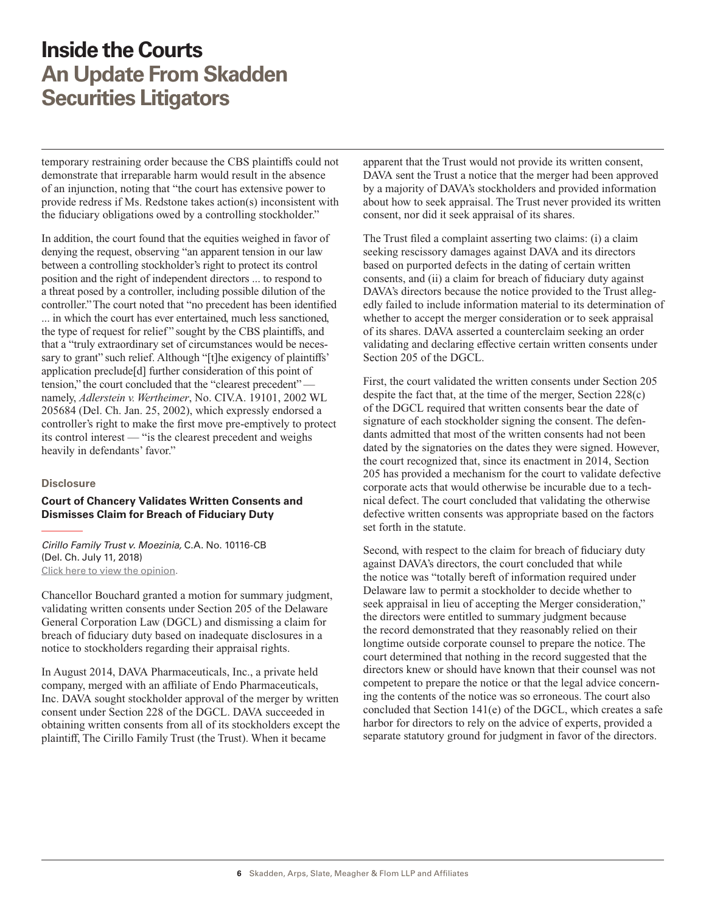<span id="page-5-0"></span>temporary restraining order because the CBS plaintiffs could not demonstrate that irreparable harm would result in the absence of an injunction, noting that "the court has extensive power to provide redress if Ms. Redstone takes action(s) inconsistent with the fiduciary obligations owed by a controlling stockholder."

In addition, the court found that the equities weighed in favor of denying the request, observing "an apparent tension in our law between a controlling stockholder's right to protect its control position and the right of independent directors ... to respond to a threat posed by a controller, including possible dilution of the controller." The court noted that "no precedent has been identified ... in which the court has ever entertained, much less sanctioned, the type of request for relief" sought by the CBS plaintiffs, and that a "truly extraordinary set of circumstances would be necessary to grant" such relief. Although "[t]he exigency of plaintiffs' application preclude[d] further consideration of this point of tension," the court concluded that the "clearest precedent" namely, *Adlerstein v. Wertheimer*, No. CIV.A. 19101, 2002 WL 205684 (Del. Ch. Jan. 25, 2002), which expressly endorsed a controller's right to make the first move pre-emptively to protect its control interest — "is the clearest precedent and weighs heavily in defendants' favor."

#### **Disclosure**

#### **Court of Chancery Validates Written Consents and Dismisses Claim for Breach of Fiduciary Duty**

*Cirillo Family Trust v. Moezinia,* C.A. No. 10116-CB (Del. Ch. July 11, 2018) [Click here to view the opinion](http://www.skadden.com/-/media/files/publications/2018/09/inside-the-courts-sept-2018/fn8_cirillo_family_trust_v_moezinia.pdf).

Chancellor Bouchard granted a motion for summary judgment, validating written consents under Section 205 of the Delaware General Corporation Law (DGCL) and dismissing a claim for breach of fiduciary duty based on inadequate disclosures in a notice to stockholders regarding their appraisal rights.

In August 2014, DAVA Pharmaceuticals, Inc., a private held company, merged with an affiliate of Endo Pharmaceuticals, Inc. DAVA sought stockholder approval of the merger by written consent under Section 228 of the DGCL. DAVA succeeded in obtaining written consents from all of its stockholders except the plaintiff, The Cirillo Family Trust (the Trust). When it became

apparent that the Trust would not provide its written consent, DAVA sent the Trust a notice that the merger had been approved by a majority of DAVA's stockholders and provided information about how to seek appraisal. The Trust never provided its written consent, nor did it seek appraisal of its shares.

The Trust filed a complaint asserting two claims: (i) a claim seeking rescissory damages against DAVA and its directors based on purported defects in the dating of certain written consents, and (ii) a claim for breach of fiduciary duty against DAVA's directors because the notice provided to the Trust allegedly failed to include information material to its determination of whether to accept the merger consideration or to seek appraisal of its shares. DAVA asserted a counterclaim seeking an order validating and declaring effective certain written consents under Section 205 of the DGCL.

First, the court validated the written consents under Section 205 despite the fact that, at the time of the merger, Section 228(c) of the DGCL required that written consents bear the date of signature of each stockholder signing the consent. The defendants admitted that most of the written consents had not been dated by the signatories on the dates they were signed. However, the court recognized that, since its enactment in 2014, Section 205 has provided a mechanism for the court to validate defective corporate acts that would otherwise be incurable due to a technical defect. The court concluded that validating the otherwise defective written consents was appropriate based on the factors set forth in the statute.

Second, with respect to the claim for breach of fiduciary duty against DAVA's directors, the court concluded that while the notice was "totally bereft of information required under Delaware law to permit a stockholder to decide whether to seek appraisal in lieu of accepting the Merger consideration," the directors were entitled to summary judgment because the record demonstrated that they reasonably relied on their longtime outside corporate counsel to prepare the notice. The court determined that nothing in the record suggested that the directors knew or should have known that their counsel was not competent to prepare the notice or that the legal advice concerning the contents of the notice was so erroneous. The court also concluded that Section 141(e) of the DGCL, which creates a safe harbor for directors to rely on the advice of experts, provided a separate statutory ground for judgment in favor of the directors.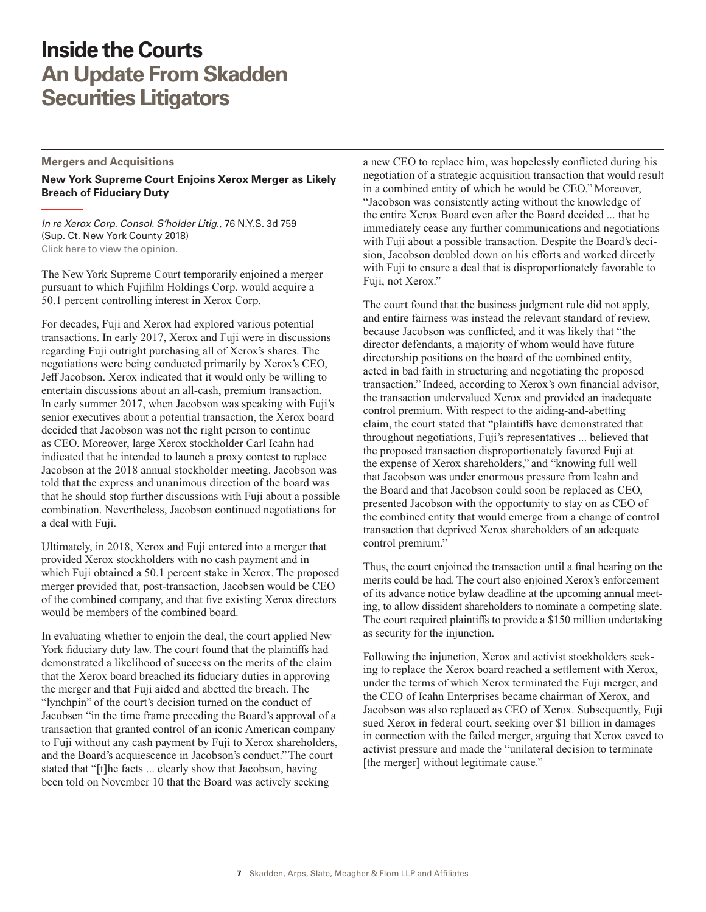#### <span id="page-6-0"></span>**Mergers and Acquisitions**

**New York Supreme Court Enjoins Xerox Merger as Likely Breach of Fiduciary Duty**

*In re Xerox Corp. Consol. S'holder Litig.*, 76 N.Y.S. 3d 759 (Sup. Ct. New York County 2018) [Click here to view the opinion](http://www.skadden.com/-/media/files/publications/2018/09/inside-the-courts-sept-2018/inrexeroxcorp.pdf).

The New York Supreme Court temporarily enjoined a merger pursuant to which Fujifilm Holdings Corp. would acquire a 50.1 percent controlling interest in Xerox Corp.

For decades, Fuji and Xerox had explored various potential transactions. In early 2017, Xerox and Fuji were in discussions regarding Fuji outright purchasing all of Xerox's shares. The negotiations were being conducted primarily by Xerox's CEO, Jeff Jacobson. Xerox indicated that it would only be willing to entertain discussions about an all-cash, premium transaction. In early summer 2017, when Jacobson was speaking with Fuji's senior executives about a potential transaction, the Xerox board decided that Jacobson was not the right person to continue as CEO. Moreover, large Xerox stockholder Carl Icahn had indicated that he intended to launch a proxy contest to replace Jacobson at the 2018 annual stockholder meeting. Jacobson was told that the express and unanimous direction of the board was that he should stop further discussions with Fuji about a possible combination. Nevertheless, Jacobson continued negotiations for a deal with Fuji.

Ultimately, in 2018, Xerox and Fuji entered into a merger that provided Xerox stockholders with no cash payment and in which Fuji obtained a 50.1 percent stake in Xerox. The proposed merger provided that, post-transaction, Jacobsen would be CEO of the combined company, and that five existing Xerox directors would be members of the combined board.

In evaluating whether to enjoin the deal, the court applied New York fiduciary duty law. The court found that the plaintiffs had demonstrated a likelihood of success on the merits of the claim that the Xerox board breached its fiduciary duties in approving the merger and that Fuji aided and abetted the breach. The "lynchpin" of the court's decision turned on the conduct of Jacobsen "in the time frame preceding the Board's approval of a transaction that granted control of an iconic American company to Fuji without any cash payment by Fuji to Xerox shareholders, and the Board's acquiescence in Jacobson's conduct." The court stated that "[t]he facts ... clearly show that Jacobson, having been told on November 10 that the Board was actively seeking

a new CEO to replace him, was hopelessly conflicted during his negotiation of a strategic acquisition transaction that would result in a combined entity of which he would be CEO." Moreover, "Jacobson was consistently acting without the knowledge of the entire Xerox Board even after the Board decided ... that he immediately cease any further communications and negotiations with Fuji about a possible transaction. Despite the Board's decision, Jacobson doubled down on his efforts and worked directly with Fuji to ensure a deal that is disproportionately favorable to Fuji, not Xerox."

The court found that the business judgment rule did not apply, and entire fairness was instead the relevant standard of review, because Jacobson was conflicted, and it was likely that "the director defendants, a majority of whom would have future directorship positions on the board of the combined entity, acted in bad faith in structuring and negotiating the proposed transaction." Indeed, according to Xerox's own financial advisor, the transaction undervalued Xerox and provided an inadequate control premium. With respect to the aiding-and-abetting claim, the court stated that "plaintiffs have demonstrated that throughout negotiations, Fuji's representatives ... believed that the proposed transaction disproportionately favored Fuji at the expense of Xerox shareholders," and "knowing full well that Jacobson was under enormous pressure from Icahn and the Board and that Jacobson could soon be replaced as CEO, presented Jacobson with the opportunity to stay on as CEO of the combined entity that would emerge from a change of control transaction that deprived Xerox shareholders of an adequate control premium."

Thus, the court enjoined the transaction until a final hearing on the merits could be had. The court also enjoined Xerox's enforcement of its advance notice bylaw deadline at the upcoming annual meeting, to allow dissident shareholders to nominate a competing slate. The court required plaintiffs to provide a \$150 million undertaking as security for the injunction.

Following the injunction, Xerox and activist stockholders seeking to replace the Xerox board reached a settlement with Xerox, under the terms of which Xerox terminated the Fuji merger, and the CEO of Icahn Enterprises became chairman of Xerox, and Jacobson was also replaced as CEO of Xerox. Subsequently, Fuji sued Xerox in federal court, seeking over \$1 billion in damages in connection with the failed merger, arguing that Xerox caved to activist pressure and made the "unilateral decision to terminate [the merger] without legitimate cause."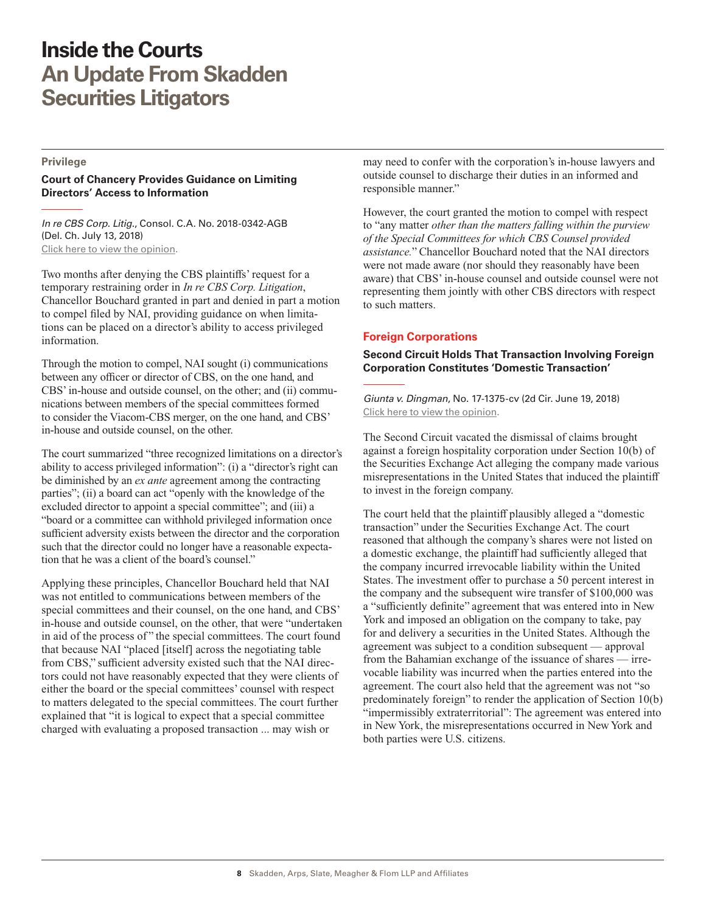#### <span id="page-7-0"></span>**Privilege**

### **Court of Chancery Provides Guidance on Limiting Directors' Access to Information**

*In re CBS Corp. Litig*., Consol. C.A. No. 2018-0342-AGB (Del. Ch. July 13, 2018) [Click here to view the opinion](http://www.skadden.com/-/media/files/publications/2018/09/inside-the-courts-sept-2018/fn9_in_re_cbs_corp_litig.pdf).

Two months after denying the CBS plaintiffs' request for a temporary restraining order in *In re CBS Corp. Litigation*, Chancellor Bouchard granted in part and denied in part a motion to compel filed by NAI, providing guidance on when limitations can be placed on a director's ability to access privileged information.

Through the motion to compel, NAI sought (i) communications between any officer or director of CBS, on the one hand, and CBS' in-house and outside counsel, on the other; and (ii) communications between members of the special committees formed to consider the Viacom-CBS merger, on the one hand, and CBS' in-house and outside counsel, on the other.

The court summarized "three recognized limitations on a director's ability to access privileged information": (i) a "director's right can be diminished by an *ex ante* agreement among the contracting parties"; (ii) a board can act "openly with the knowledge of the excluded director to appoint a special committee"; and (iii) a "board or a committee can withhold privileged information once sufficient adversity exists between the director and the corporation such that the director could no longer have a reasonable expectation that he was a client of the board's counsel."

Applying these principles, Chancellor Bouchard held that NAI was not entitled to communications between members of the special committees and their counsel, on the one hand, and CBS' in-house and outside counsel, on the other, that were "undertaken in aid of the process of " the special committees. The court found that because NAI "placed [itself] across the negotiating table from CBS," sufficient adversity existed such that the NAI directors could not have reasonably expected that they were clients of either the board or the special committees' counsel with respect to matters delegated to the special committees. The court further explained that "it is logical to expect that a special committee charged with evaluating a proposed transaction ... may wish or

may need to confer with the corporation's in-house lawyers and outside counsel to discharge their duties in an informed and responsible manner."

However, the court granted the motion to compel with respect to "any matter *other than the matters falling within the purview of the Special Committees for which CBS Counsel provided assistance.*" Chancellor Bouchard noted that the NAI directors were not made aware (nor should they reasonably have been aware) that CBS' in-house counsel and outside counsel were not representing them jointly with other CBS directors with respect to such matters.

### **Foreign Corporations**

**Second Circuit Holds That Transaction Involving Foreign Corporation Constitutes 'Domestic Transaction'**

*Giunta v. Dingman*, No. 17-1375-cv (2d Cir. June 19, 2018) [Click here to view the opinion](http://www.skadden.com/-/media/files/publications/2018/09/inside-the-courts-sept-2018/fn10_giunta_v_dingman.pdf).

The Second Circuit vacated the dismissal of claims brought against a foreign hospitality corporation under Section 10(b) of the Securities Exchange Act alleging the company made various misrepresentations in the United States that induced the plaintiff to invest in the foreign company.

The court held that the plaintiff plausibly alleged a "domestic transaction" under the Securities Exchange Act. The court reasoned that although the company's shares were not listed on a domestic exchange, the plaintiff had sufficiently alleged that the company incurred irrevocable liability within the United States. The investment offer to purchase a 50 percent interest in the company and the subsequent wire transfer of \$100,000 was a "sufficiently definite" agreement that was entered into in New York and imposed an obligation on the company to take, pay for and delivery a securities in the United States. Although the agreement was subject to a condition subsequent — approval from the Bahamian exchange of the issuance of shares — irrevocable liability was incurred when the parties entered into the agreement. The court also held that the agreement was not "so predominately foreign" to render the application of Section 10(b) "impermissibly extraterritorial": The agreement was entered into in New York, the misrepresentations occurred in New York and both parties were U.S. citizens.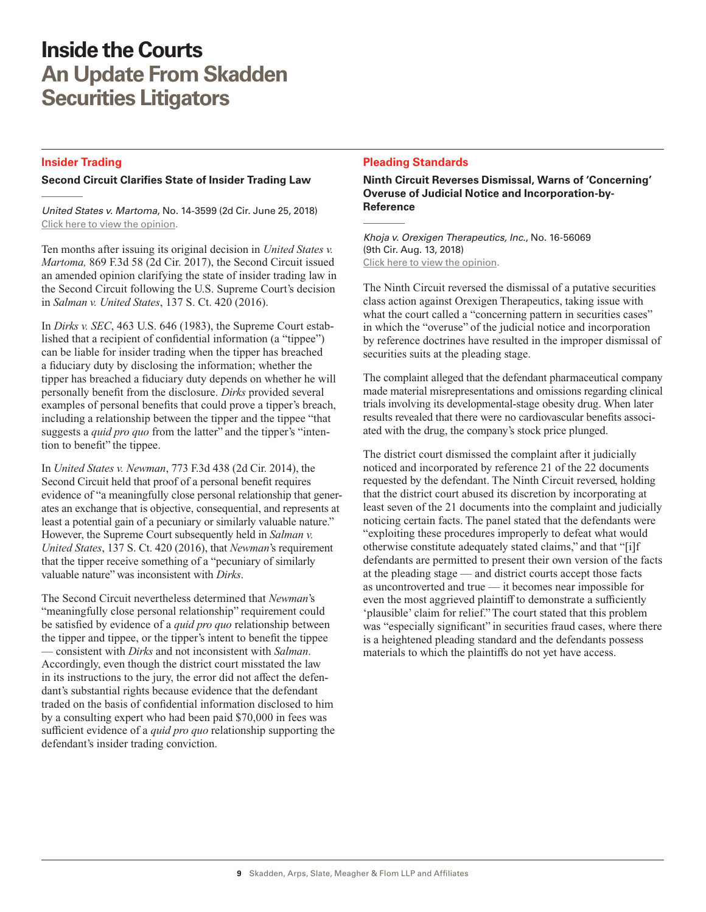### <span id="page-8-0"></span>**Insider Trading**

### **Second Circuit Clarifies State of Insider Trading Law**

*United States v. Martoma*, No. 14-3599 (2d Cir. June 25, 2018) [Click here to view the opinion](http://www.skadden.com/-/media/files/publications/2018/09/inside-the-courts-sept-2018/fn11_us_v_martoma.pdf).

Ten months after issuing its original decision in *United States v. Martoma,* 869 F.3d 58 (2d Cir. 2017), the Second Circuit issued an amended opinion clarifying the state of insider trading law in the Second Circuit following the U.S. Supreme Court's decision in *Salman v. United States*, 137 S. Ct. 420 (2016).

In *Dirks v. SEC*, 463 U.S. 646 (1983), the Supreme Court established that a recipient of confidential information (a "tippee") can be liable for insider trading when the tipper has breached a fiduciary duty by disclosing the information; whether the tipper has breached a fiduciary duty depends on whether he will personally benefit from the disclosure. *Dirks* provided several examples of personal benefits that could prove a tipper's breach, including a relationship between the tipper and the tippee "that suggests a *quid pro quo* from the latter" and the tipper's "intention to benefit" the tippee.

In *United States v. Newman*, 773 F.3d 438 (2d Cir. 2014), the Second Circuit held that proof of a personal benefit requires evidence of "a meaningfully close personal relationship that generates an exchange that is objective, consequential, and represents at least a potential gain of a pecuniary or similarly valuable nature." However, the Supreme Court subsequently held in *Salman v. United States*, 137 S. Ct. 420 (2016), that *Newman*'s requirement that the tipper receive something of a "pecuniary of similarly valuable nature" was inconsistent with *Dirks*.

The Second Circuit nevertheless determined that *Newman*'s "meaningfully close personal relationship" requirement could be satisfied by evidence of a *quid pro quo* relationship between the tipper and tippee, or the tipper's intent to benefit the tippee — consistent with *Dirks* and not inconsistent with *Salman*. Accordingly, even though the district court misstated the law in its instructions to the jury, the error did not affect the defendant's substantial rights because evidence that the defendant traded on the basis of confidential information disclosed to him by a consulting expert who had been paid \$70,000 in fees was sufficient evidence of a *quid pro quo* relationship supporting the defendant's insider trading conviction.

### **Pleading Standards**

**Ninth Circuit Reverses Dismissal, Warns of 'Concerning' Overuse of Judicial Notice and Incorporation-by-Reference**

*Khoja v. Orexigen Therapeutics, Inc.*, No. 16-56069 (9th Cir. Aug. 13, 2018) [Click here to view the opinion](http://www.skadden.com/-/media/files/publications/2018/09/inside-the-courts-sept-2018/fn12_khoja_v_orexigen_therapeutics_inc.pdf).

The Ninth Circuit reversed the dismissal of a putative securities class action against Orexigen Therapeutics, taking issue with what the court called a "concerning pattern in securities cases" in which the "overuse" of the judicial notice and incorporation by reference doctrines have resulted in the improper dismissal of securities suits at the pleading stage.

The complaint alleged that the defendant pharmaceutical company made material misrepresentations and omissions regarding clinical trials involving its developmental-stage obesity drug. When later results revealed that there were no cardiovascular benefits associated with the drug, the company's stock price plunged.

The district court dismissed the complaint after it judicially noticed and incorporated by reference 21 of the 22 documents requested by the defendant. The Ninth Circuit reversed, holding that the district court abused its discretion by incorporating at least seven of the 21 documents into the complaint and judicially noticing certain facts. The panel stated that the defendants were "exploiting these procedures improperly to defeat what would otherwise constitute adequately stated claims," and that "[i]f defendants are permitted to present their own version of the facts at the pleading stage — and district courts accept those facts as uncontroverted and true — it becomes near impossible for even the most aggrieved plaintiff to demonstrate a sufficiently 'plausible' claim for relief." The court stated that this problem was "especially significant" in securities fraud cases, where there is a heightened pleading standard and the defendants possess materials to which the plaintiffs do not yet have access.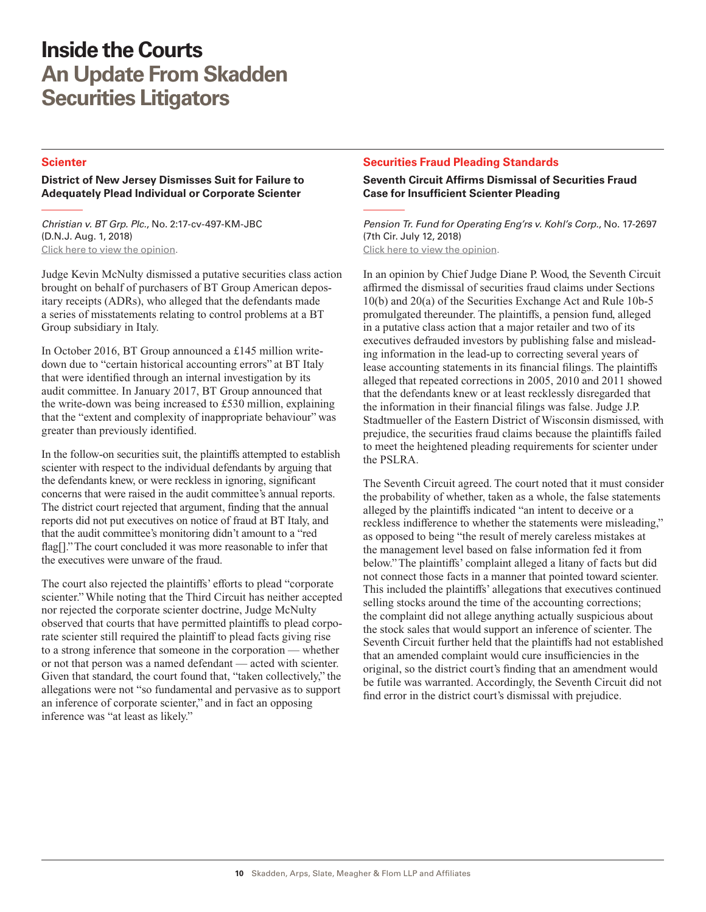#### <span id="page-9-0"></span>**Scienter**

#### **District of New Jersey Dismisses Suit for Failure to Adequately Plead Individual or Corporate Scienter**

*Christian v. BT Grp. Plc.*, No. 2:17-cv-497-KM-JBC (D.N.J. Aug. 1, 2018) [Click here to view the opinion](http://www.skadden.com/-/media/files/publications/2018/09/inside-the-courts-sept-2018/fn13_christian_v_bt_group_plc.pdf).

Judge Kevin McNulty dismissed a putative securities class action brought on behalf of purchasers of BT Group American depositary receipts (ADRs), who alleged that the defendants made a series of misstatements relating to control problems at a BT Group subsidiary in Italy.

In October 2016, BT Group announced a £145 million writedown due to "certain historical accounting errors" at BT Italy that were identified through an internal investigation by its audit committee. In January 2017, BT Group announced that the write-down was being increased to £530 million, explaining that the "extent and complexity of inappropriate behaviour" was greater than previously identified.

In the follow-on securities suit, the plaintiffs attempted to establish scienter with respect to the individual defendants by arguing that the defendants knew, or were reckless in ignoring, significant concerns that were raised in the audit committee's annual reports. The district court rejected that argument, finding that the annual reports did not put executives on notice of fraud at BT Italy, and that the audit committee's monitoring didn't amount to a "red flag[]." The court concluded it was more reasonable to infer that the executives were unware of the fraud.

The court also rejected the plaintiffs' efforts to plead "corporate scienter." While noting that the Third Circuit has neither accepted nor rejected the corporate scienter doctrine, Judge McNulty observed that courts that have permitted plaintiffs to plead corporate scienter still required the plaintiff to plead facts giving rise to a strong inference that someone in the corporation — whether or not that person was a named defendant — acted with scienter. Given that standard, the court found that, "taken collectively," the allegations were not "so fundamental and pervasive as to support an inference of corporate scienter," and in fact an opposing inference was "at least as likely."

### **Securities Fraud Pleading Standards**

### **Seventh Circuit Affirms Dismissal of Securities Fraud Case for Insufficient Scienter Pleading**

*Pension Tr. Fund for Operating Eng'rs v. Kohl's Corp*., No. 17-2697 (7th Cir. July 12, 2018) [Click here to view the opinion](http://www.skadden.com/-/media/files/publications/2018/09/inside-the-courts-sept-2018/fn15pensiontrustfundforoperatingengineersvkohls.pdf).

In an opinion by Chief Judge Diane P. Wood, the Seventh Circuit affirmed the dismissal of securities fraud claims under Sections 10(b) and 20(a) of the Securities Exchange Act and Rule 10b-5 promulgated thereunder. The plaintiffs, a pension fund, alleged in a putative class action that a major retailer and two of its executives defrauded investors by publishing false and misleading information in the lead-up to correcting several years of lease accounting statements in its financial filings. The plaintiffs alleged that repeated corrections in 2005, 2010 and 2011 showed that the defendants knew or at least recklessly disregarded that the information in their financial filings was false. Judge J.P. Stadtmueller of the Eastern District of Wisconsin dismissed, with prejudice, the securities fraud claims because the plaintiffs failed to meet the heightened pleading requirements for scienter under the PSLRA.

The Seventh Circuit agreed. The court noted that it must consider the probability of whether, taken as a whole, the false statements alleged by the plaintiffs indicated "an intent to deceive or a reckless indifference to whether the statements were misleading," as opposed to being "the result of merely careless mistakes at the management level based on false information fed it from below." The plaintiffs' complaint alleged a litany of facts but did not connect those facts in a manner that pointed toward scienter. This included the plaintiffs' allegations that executives continued selling stocks around the time of the accounting corrections; the complaint did not allege anything actually suspicious about the stock sales that would support an inference of scienter. The Seventh Circuit further held that the plaintiffs had not established that an amended complaint would cure insufficiencies in the original, so the district court's finding that an amendment would be futile was warranted. Accordingly, the Seventh Circuit did not find error in the district court's dismissal with prejudice.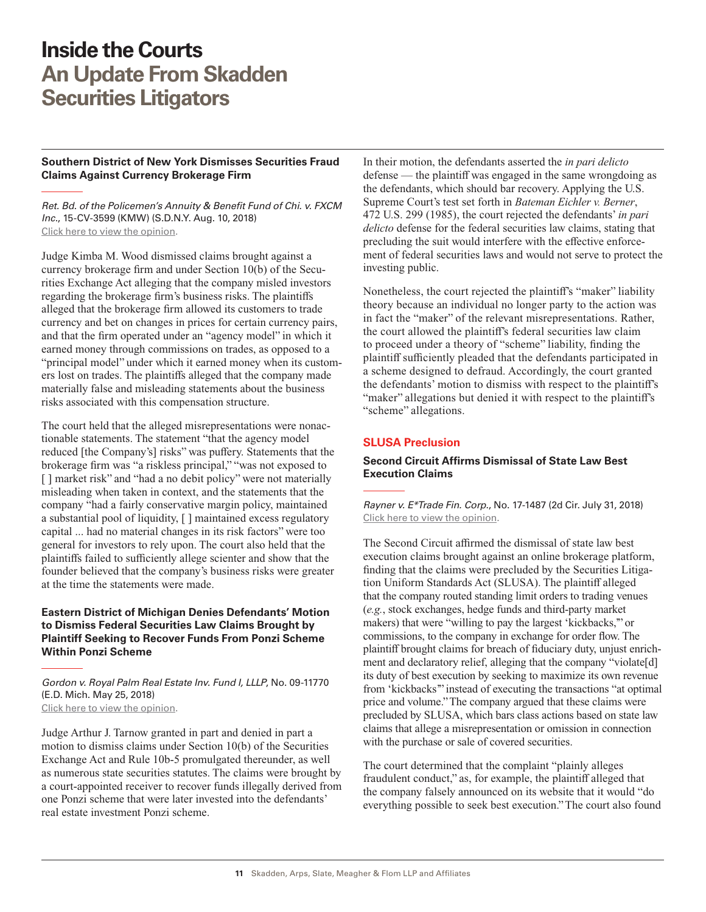### <span id="page-10-0"></span>**Southern District of New York Dismisses Securities Fraud Claims Against Currency Brokerage Firm**

*Ret. Bd. of the Policemen's Annuity & Benefit Fund of Chi. v. FXCM Inc*., 15-CV-3599 (KMW) (S.D.N.Y. Aug. 10, 2018) [Click here to view the opinion](http://www.skadden.com/-/media/files/publications/2018/09/inside-the-courts-sept-2018/fn16_retirement_board_v_fxcm.pdf).

Judge Kimba M. Wood dismissed claims brought against a currency brokerage firm and under Section 10(b) of the Securities Exchange Act alleging that the company misled investors regarding the brokerage firm's business risks. The plaintiffs alleged that the brokerage firm allowed its customers to trade currency and bet on changes in prices for certain currency pairs, and that the firm operated under an "agency model" in which it earned money through commissions on trades, as opposed to a "principal model" under which it earned money when its customers lost on trades. The plaintiffs alleged that the company made materially false and misleading statements about the business risks associated with this compensation structure.

The court held that the alleged misrepresentations were nonactionable statements. The statement "that the agency model reduced [the Company's] risks" was puffery. Statements that the brokerage firm was "a riskless principal," "was not exposed to [] market risk" and "had a no debit policy" were not materially misleading when taken in context, and the statements that the company "had a fairly conservative margin policy, maintained a substantial pool of liquidity, [ ] maintained excess regulatory capital ... had no material changes in its risk factors" were too general for investors to rely upon. The court also held that the plaintiffs failed to sufficiently allege scienter and show that the founder believed that the company's business risks were greater at the time the statements were made.

### **Eastern District of Michigan Denies Defendants' Motion to Dismiss Federal Securities Law Claims Brought by Plaintiff Seeking to Recover Funds From Ponzi Scheme Within Ponzi Scheme**

*Gordon v. Royal Palm Real Estate Inv. Fund I, LLLP*, No. 09-11770 (E.D. Mich. May 25, 2018) [Click here to view the opinion](http://www.skadden.com/-/media/files/publications/2018/09/inside-the-courts-sept-2018/fn17gordonvroyalpalmrealestateinvestmentfund.pdf).

Judge Arthur J. Tarnow granted in part and denied in part a motion to dismiss claims under Section 10(b) of the Securities Exchange Act and Rule 10b-5 promulgated thereunder, as well as numerous state securities statutes. The claims were brought by a court-appointed receiver to recover funds illegally derived from one Ponzi scheme that were later invested into the defendants' real estate investment Ponzi scheme.

In their motion, the defendants asserted the *in pari delicto* defense — the plaintiff was engaged in the same wrongdoing as the defendants, which should bar recovery. Applying the U.S. Supreme Court's test set forth in *Bateman Eichler v. Berner*, 472 U.S. 299 (1985), the court rejected the defendants' *in pari delicto* defense for the federal securities law claims, stating that precluding the suit would interfere with the effective enforcement of federal securities laws and would not serve to protect the investing public.

Nonetheless, the court rejected the plaintiff's "maker" liability theory because an individual no longer party to the action was in fact the "maker" of the relevant misrepresentations. Rather, the court allowed the plaintiff's federal securities law claim to proceed under a theory of "scheme" liability, finding the plaintiff sufficiently pleaded that the defendants participated in a scheme designed to defraud. Accordingly, the court granted the defendants' motion to dismiss with respect to the plaintiff's "maker" allegations but denied it with respect to the plaintiff's "scheme" allegations.

### **SLUSA Preclusion**

### **Second Circuit Affirms Dismissal of State Law Best Execution Claims**

*Rayner v. E\*Trade Fin. Corp*., No. 17-1487 (2d Cir. July 31, 2018) [Click here to view the opinion](http://www.skadden.com/-/media/files/publications/2018/09/inside-the-courts-sept-2018/fn18_rayner_v_etrade.pdf).

The Second Circuit affirmed the dismissal of state law best execution claims brought against an online brokerage platform, finding that the claims were precluded by the Securities Litigation Uniform Standards Act (SLUSA). The plaintiff alleged that the company routed standing limit orders to trading venues (*e.g.*, stock exchanges, hedge funds and third-party market makers) that were "willing to pay the largest 'kickbacks,'" or commissions, to the company in exchange for order flow. The plaintiff brought claims for breach of fiduciary duty, unjust enrichment and declaratory relief, alleging that the company "violate[d] its duty of best execution by seeking to maximize its own revenue from 'kickbacks'" instead of executing the transactions "at optimal price and volume." The company argued that these claims were precluded by SLUSA, which bars class actions based on state law claims that allege a misrepresentation or omission in connection with the purchase or sale of covered securities.

The court determined that the complaint "plainly alleges fraudulent conduct," as, for example, the plaintiff alleged that the company falsely announced on its website that it would "do everything possible to seek best execution." The court also found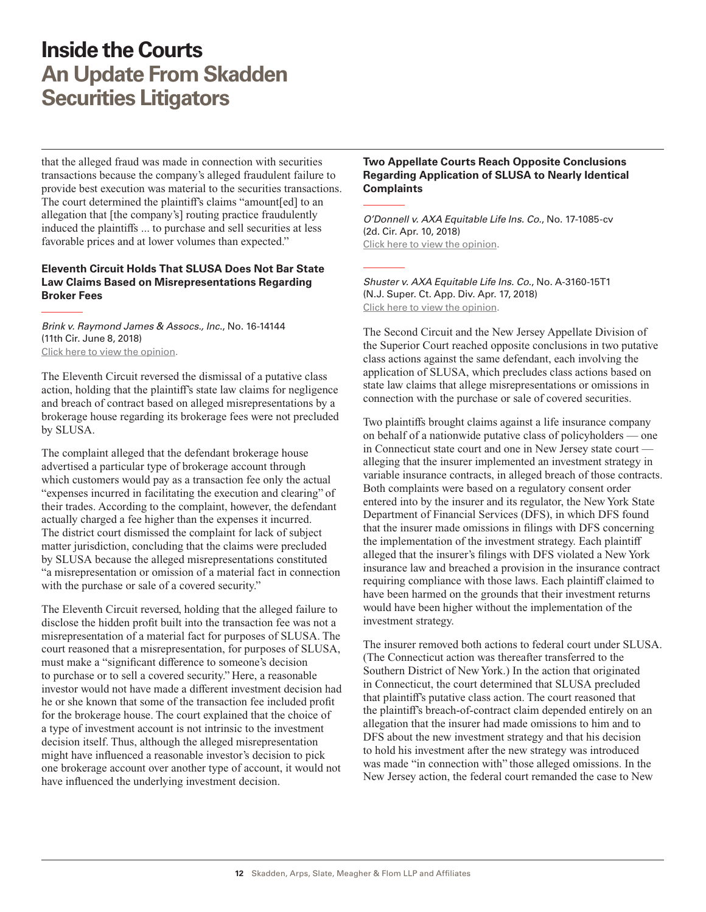<span id="page-11-0"></span>that the alleged fraud was made in connection with securities transactions because the company's alleged fraudulent failure to provide best execution was material to the securities transactions. The court determined the plaintiff's claims "amount[ed] to an allegation that [the company's] routing practice fraudulently induced the plaintiffs ... to purchase and sell securities at less favorable prices and at lower volumes than expected."

### **Eleventh Circuit Holds That SLUSA Does Not Bar State Law Claims Based on Misrepresentations Regarding Broker Fees**

*Brink v. Raymond James & Assocs., Inc*., No. 16-14144 (11th Cir. June 8, 2018) [Click here to view the opinion](http://www.skadden.com/-/media/files/publications/2018/09/inside-the-courts-sept-2018/fn19_brink_v_raymond_james.pdf).

The Eleventh Circuit reversed the dismissal of a putative class action, holding that the plaintiff's state law claims for negligence and breach of contract based on alleged misrepresentations by a brokerage house regarding its brokerage fees were not precluded by SLUSA.

The complaint alleged that the defendant brokerage house advertised a particular type of brokerage account through which customers would pay as a transaction fee only the actual "expenses incurred in facilitating the execution and clearing" of their trades. According to the complaint, however, the defendant actually charged a fee higher than the expenses it incurred. The district court dismissed the complaint for lack of subject matter jurisdiction, concluding that the claims were precluded by SLUSA because the alleged misrepresentations constituted "a misrepresentation or omission of a material fact in connection with the purchase or sale of a covered security."

The Eleventh Circuit reversed, holding that the alleged failure to disclose the hidden profit built into the transaction fee was not a misrepresentation of a material fact for purposes of SLUSA. The court reasoned that a misrepresentation, for purposes of SLUSA, must make a "significant difference to someone's decision to purchase or to sell a covered security." Here, a reasonable investor would not have made a different investment decision had he or she known that some of the transaction fee included profit for the brokerage house. The court explained that the choice of a type of investment account is not intrinsic to the investment decision itself. Thus, although the alleged misrepresentation might have influenced a reasonable investor's decision to pick one brokerage account over another type of account, it would not have influenced the underlying investment decision.

### **Two Appellate Courts Reach Opposite Conclusions Regarding Application of SLUSA to Nearly Identical Complaints**

*O'Donnell v. AXA Equitable Life Ins. Co.*, No. 17-1085-cv (2d. Cir. Apr. 10, 2018) [Click here to view the opinion](http://www.skadden.com/-/media/files/publications/2018/09/inside-the-courts-sept-2018/fn20odonnellvaxa.pdf).

*Shuster v. AXA Equitable Life Ins. Co.*, No. A-3160-15T1 (N.J. Super. Ct. App. Div. Apr. 17, 2018) [Click here to view the opinion](http://www.skadden.com/-/media/files/publications/2018/09/inside-the-courts-sept-2018/fn21_shuster_v_axa.pdf).

The Second Circuit and the New Jersey Appellate Division of the Superior Court reached opposite conclusions in two putative class actions against the same defendant, each involving the application of SLUSA, which precludes class actions based on state law claims that allege misrepresentations or omissions in connection with the purchase or sale of covered securities.

Two plaintiffs brought claims against a life insurance company on behalf of a nationwide putative class of policyholders — one in Connecticut state court and one in New Jersey state court alleging that the insurer implemented an investment strategy in variable insurance contracts, in alleged breach of those contracts. Both complaints were based on a regulatory consent order entered into by the insurer and its regulator, the New York State Department of Financial Services (DFS), in which DFS found that the insurer made omissions in filings with DFS concerning the implementation of the investment strategy. Each plaintiff alleged that the insurer's filings with DFS violated a New York insurance law and breached a provision in the insurance contract requiring compliance with those laws. Each plaintiff claimed to have been harmed on the grounds that their investment returns would have been higher without the implementation of the investment strategy.

The insurer removed both actions to federal court under SLUSA. (The Connecticut action was thereafter transferred to the Southern District of New York.) In the action that originated in Connecticut, the court determined that SLUSA precluded that plaintiff's putative class action. The court reasoned that the plaintiff's breach-of-contract claim depended entirely on an allegation that the insurer had made omissions to him and to DFS about the new investment strategy and that his decision to hold his investment after the new strategy was introduced was made "in connection with" those alleged omissions. In the New Jersey action, the federal court remanded the case to New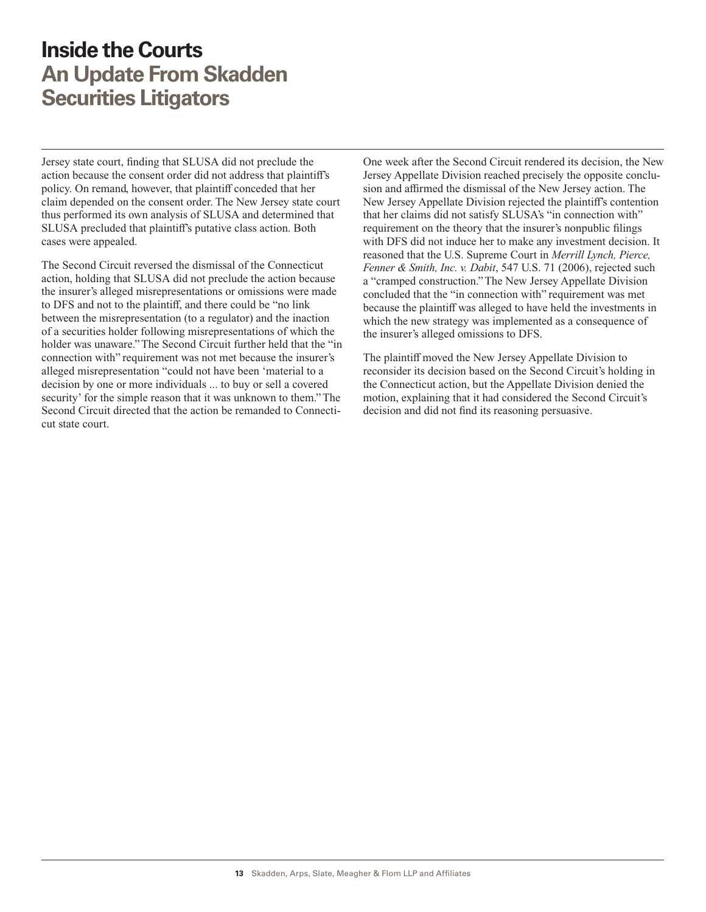Jersey state court, finding that SLUSA did not preclude the action because the consent order did not address that plaintiff's policy. On remand, however, that plaintiff conceded that her claim depended on the consent order. The New Jersey state court thus performed its own analysis of SLUSA and determined that SLUSA precluded that plaintiff's putative class action. Both cases were appealed.

The Second Circuit reversed the dismissal of the Connecticut action, holding that SLUSA did not preclude the action because the insurer's alleged misrepresentations or omissions were made to DFS and not to the plaintiff, and there could be "no link between the misrepresentation (to a regulator) and the inaction of a securities holder following misrepresentations of which the holder was unaware." The Second Circuit further held that the "in connection with" requirement was not met because the insurer's alleged misrepresentation "could not have been 'material to a decision by one or more individuals ... to buy or sell a covered security' for the simple reason that it was unknown to them." The Second Circuit directed that the action be remanded to Connecticut state court.

One week after the Second Circuit rendered its decision, the New Jersey Appellate Division reached precisely the opposite conclusion and affirmed the dismissal of the New Jersey action. The New Jersey Appellate Division rejected the plaintiff's contention that her claims did not satisfy SLUSA's "in connection with" requirement on the theory that the insurer's nonpublic filings with DFS did not induce her to make any investment decision. It reasoned that the U.S. Supreme Court in *Merrill Lynch, Pierce, Fenner & Smith, Inc. v. Dabit*, 547 U.S. 71 (2006), rejected such a "cramped construction." The New Jersey Appellate Division concluded that the "in connection with" requirement was met because the plaintiff was alleged to have held the investments in which the new strategy was implemented as a consequence of the insurer's alleged omissions to DFS.

The plaintiff moved the New Jersey Appellate Division to reconsider its decision based on the Second Circuit's holding in the Connecticut action, but the Appellate Division denied the motion, explaining that it had considered the Second Circuit's decision and did not find its reasoning persuasive.